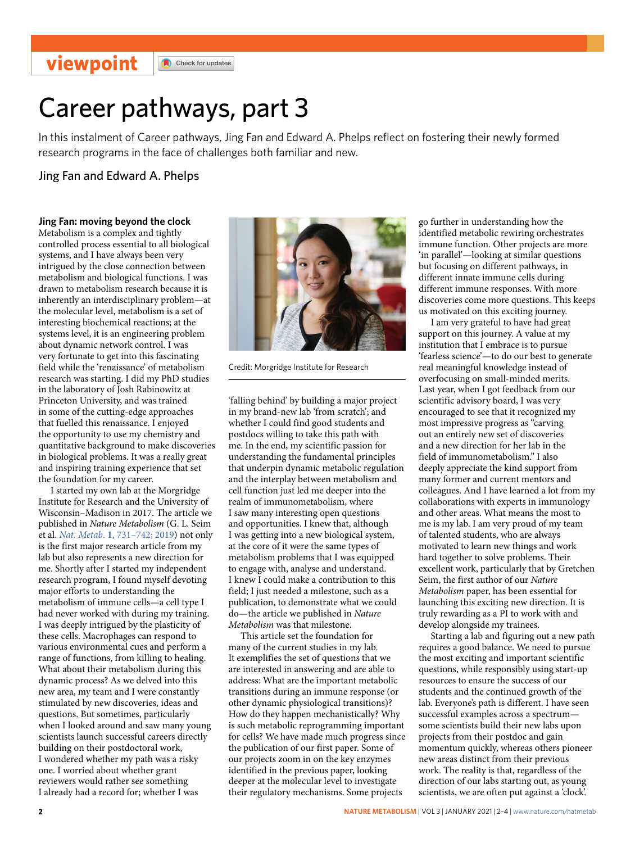## **viewpoint**

Check for updates

# Career pathways, part 3

In this instalment of Career pathways, Jing Fan and Edward A. Phelps refect on fostering their newly formed research programs in the face of challenges both familiar and new.

Jing Fan and Edward A. Phelps

#### **Jing Fan: moving beyond the clock**

Metabolism is a complex and tightly controlled process essential to all biological systems, and I have always been very intrigued by the close connection between metabolism and biological functions. I was drawn to metabolism research because it is inherently an interdisciplinary problem—at the molecular level, metabolism is a set of interesting biochemical reactions; at the systems level, it is an engineering problem about dynamic network control. I was very fortunate to get into this fascinating field while the 'renaissance' of metabolism research was starting. I did my PhD studies in the laboratory of Josh Rabinowitz at Princeton University, and was trained in some of the cutting-edge approaches that fuelled this renaissance. I enjoyed the opportunity to use my chemistry and quantitative background to make discoveries in biological problems. It was a really great and inspiring training experience that set the foundation for my career.

I started my own lab at the Morgridge Institute for Research and the University of Wisconsin–Madison in 2017. The article we published in *Nature Metabolism* (G. L. Seim et al. *Nat. Metab*. **1**[, 731–742; 2019](https://doi.org/10.1038/s42255-019-0083-2)) not only is the first major research article from my lab but also represents a new direction for me. Shortly after I started my independent research program, I found myself devoting major efforts to understanding the metabolism of immune cells—a cell type I had never worked with during my training. I was deeply intrigued by the plasticity of these cells. Macrophages can respond to various environmental cues and perform a range of functions, from killing to healing. What about their metabolism during this dynamic process? As we delved into this new area, my team and I were constantly stimulated by new discoveries, ideas and questions. But sometimes, particularly when I looked around and saw many young scientists launch successful careers directly building on their postdoctoral work, I wondered whether my path was a risky one. I worried about whether grant reviewers would rather see something I already had a record for; whether I was



Credit: Morgridge Institute for Research

'falling behind' by building a major project in my brand-new lab 'from scratch'; and whether I could find good students and postdocs willing to take this path with me. In the end, my scientific passion for understanding the fundamental principles that underpin dynamic metabolic regulation and the interplay between metabolism and cell function just led me deeper into the realm of immunometabolism, where I saw many interesting open questions and opportunities. I knew that, although I was getting into a new biological system, at the core of it were the same types of metabolism problems that I was equipped to engage with, analyse and understand. I knew I could make a contribution to this field; I just needed a milestone, such as a publication, to demonstrate what we could do—the article we published in *Nature Metabolism* was that milestone.

This article set the foundation for many of the current studies in my lab. It exemplifies the set of questions that we are interested in answering and are able to address: What are the important metabolic transitions during an immune response (or other dynamic physiological transitions)? How do they happen mechanistically? Why is such metabolic reprogramming important for cells? We have made much progress since the publication of our first paper. Some of our projects zoom in on the key enzymes identified in the previous paper, looking deeper at the molecular level to investigate their regulatory mechanisms. Some projects

go further in understanding how the identified metabolic rewiring orchestrates immune function. Other projects are more 'in parallel'—looking at similar questions but focusing on different pathways, in different innate immune cells during different immune responses. With more discoveries come more questions. This keeps us motivated on this exciting journey.

I am very grateful to have had great support on this journey. A value at my institution that I embrace is to pursue 'fearless science'—to do our best to generate real meaningful knowledge instead of overfocusing on small-minded merits. Last year, when I got feedback from our scientific advisory board, I was very encouraged to see that it recognized my most impressive progress as "carving out an entirely new set of discoveries and a new direction for her lab in the field of immunometabolism." I also deeply appreciate the kind support from many former and current mentors and colleagues. And I have learned a lot from my collaborations with experts in immunology and other areas. What means the most to me is my lab. I am very proud of my team of talented students, who are always motivated to learn new things and work hard together to solve problems. Their excellent work, particularly that by Gretchen Seim, the first author of our *Nature Metabolism* paper, has been essential for launching this exciting new direction. It is truly rewarding as a PI to work with and develop alongside my trainees.

Starting a lab and figuring out a new path requires a good balance. We need to pursue the most exciting and important scientific questions, while responsibly using start-up resources to ensure the success of our students and the continued growth of the lab. Everyone's path is different. I have seen successful examples across a spectrum some scientists build their new labs upon projects from their postdoc and gain momentum quickly, whereas others pioneer new areas distinct from their previous work. The reality is that, regardless of the direction of our labs starting out, as young scientists, we are often put against a 'clock'.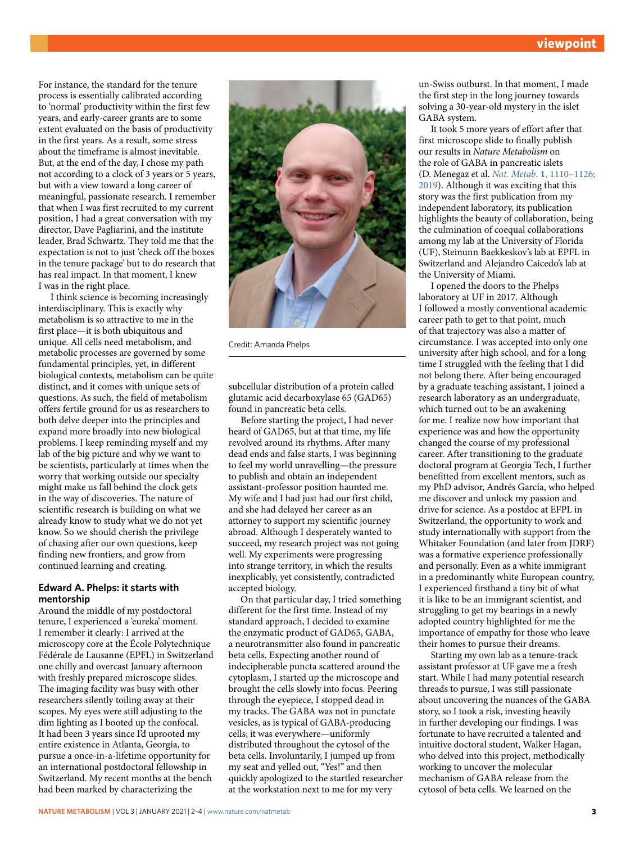For instance, the standard for the tenure process is essentially calibrated according to 'normal' productivity within the first few years, and early-career grants are to some extent evaluated on the basis of productivity in the first years. As a result, some stress about the timeframe is almost inevitable. But, at the end of the day, I chose my path not according to a clock of 3 years or 5 years, but with a view toward a long career of meaningful, passionate research. I remember that when I was first recruited to my current position, I had a great conversation with my director, Dave Pagliarini, and the institute leader, Brad Schwartz. They told me that the expectation is not to just 'check off the boxes in the tenure package' but to do research that has real impact. In that moment, I knew I was in the right place.

I think science is becoming increasingly interdisciplinary. This is exactly why metabolism is so attractive to me in the first place—it is both ubiquitous and unique. All cells need metabolism, and metabolic processes are governed by some fundamental principles, yet, in different biological contexts, metabolism can be quite distinct, and it comes with unique sets of questions. As such, the field of metabolism offers fertile ground for us as researchers to both delve deeper into the principles and expand more broadly into new biological problems. I keep reminding myself and my lab of the big picture and why we want to be scientists, particularly at times when the worry that working outside our specialty might make us fall behind the clock gets in the way of discoveries. The nature of scientific research is building on what we already know to study what we do not yet know. So we should cherish the privilege of chasing after our own questions, keep finding new frontiers, and grow from continued learning and creating.

#### **Edward A. Phelps: it starts with mentorship**

Around the middle of my postdoctoral tenure, I experienced a 'eureka' moment. I remember it clearly: I arrived at the microscopy core at the École Polytechnique Fédérale de Lausanne (EPFL) in Switzerland one chilly and overcast January afternoon with freshly prepared microscope slides. The imaging facility was busy with other researchers silently toiling away at their scopes. My eyes were still adjusting to the dim lighting as I booted up the confocal. It had been 3 years since I'd uprooted my entire existence in Atlanta, Georgia, to pursue a once-in-a-lifetime opportunity for an international postdoctoral fellowship in Switzerland. My recent months at the bench had been marked by characterizing the



Credit: Amanda Phelps

subcellular distribution of a protein called glutamic acid decarboxylase 65 (GAD65) found in pancreatic beta cells.

Before starting the project, I had never heard of GAD65, but at that time, my life revolved around its rhythms. After many dead ends and false starts, I was beginning to feel my world unravelling—the pressure to publish and obtain an independent assistant-professor position haunted me. My wife and I had just had our first child, and she had delayed her career as an attorney to support my scientific journey abroad. Although I desperately wanted to succeed, my research project was not going well. My experiments were progressing into strange territory, in which the results inexplicably, yet consistently, contradicted accepted biology.

On that particular day, I tried something different for the first time. Instead of my standard approach, I decided to examine the enzymatic product of GAD65, GABA, a neurotransmitter also found in pancreatic beta cells. Expecting another round of indecipherable puncta scattered around the cytoplasm, I started up the microscope and brought the cells slowly into focus. Peering through the eyepiece, I stopped dead in my tracks. The GABA was not in punctate vesicles, as is typical of GABA-producing cells; it was everywhere—uniformly distributed throughout the cytosol of the beta cells. Involuntarily, I jumped up from my seat and yelled out, "Yes!" and then quickly apologized to the startled researcher at the workstation next to me for my very

un-Swiss outburst. In that moment, I made the first step in the long journey towards solving a 30-year-old mystery in the islet GABA system.

It took 5 more years of effort after that first microscope slide to finally publish our results in *Nature Metabolism* on the role of GABA in pancreatic islets (D. Menegaz et al. *Nat. Metab*. **1**[, 1110–1126;](https://doi.org/10.1038/s42255-019-0135-7)  [2019\)](https://doi.org/10.1038/s42255-019-0135-7). Although it was exciting that this story was the first publication from my independent laboratory, its publication highlights the beauty of collaboration, being the culmination of coequal collaborations among my lab at the University of Florida (UF), Steinunn Baekkeskov's lab at EPFL in Switzerland and Alejandro Caicedo's lab at the University of Miami.

I opened the doors to the Phelps laboratory at UF in 2017. Although I followed a mostly conventional academic career path to get to that point, much of that trajectory was also a matter of circumstance. I was accepted into only one university after high school, and for a long time I struggled with the feeling that I did not belong there. After being encouraged by a graduate teaching assistant, I joined a research laboratory as an undergraduate, which turned out to be an awakening for me. I realize now how important that experience was and how the opportunity changed the course of my professional career. After transitioning to the graduate doctoral program at Georgia Tech, I further benefitted from excellent mentors, such as my PhD advisor, Andrés García, who helped me discover and unlock my passion and drive for science. As a postdoc at EFPL in Switzerland, the opportunity to work and study internationally with support from the Whitaker Foundation (and later from JDRF) was a formative experience professionally and personally. Even as a white immigrant in a predominantly white European country, I experienced firsthand a tiny bit of what it is like to be an immigrant scientist, and struggling to get my bearings in a newly adopted country highlighted for me the importance of empathy for those who leave their homes to pursue their dreams.

Starting my own lab as a tenure-track assistant professor at UF gave me a fresh start. While I had many potential research threads to pursue, I was still passionate about uncovering the nuances of the GABA story, so I took a risk, investing heavily in further developing our findings. I was fortunate to have recruited a talented and intuitive doctoral student, Walker Hagan, who delved into this project, methodically working to uncover the molecular mechanism of GABA release from the cytosol of beta cells. We learned on the